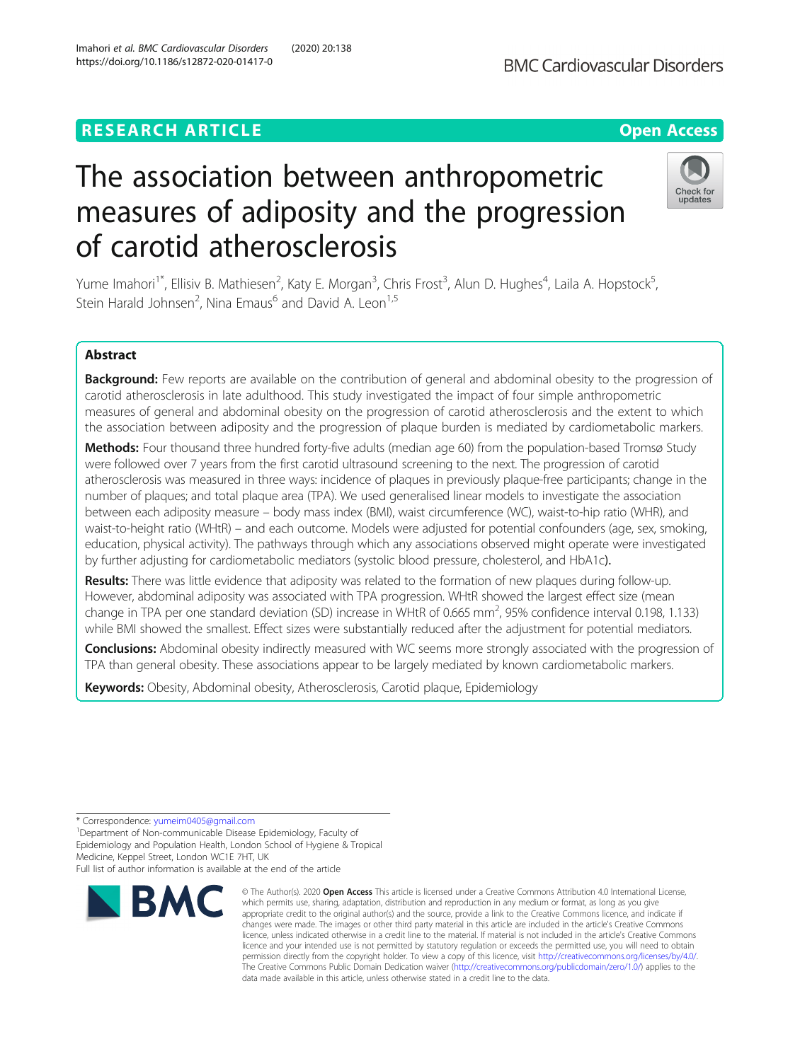## **RESEARCH ARTICLE Example 2014 12:30 The Contract of Contract ACCESS**

## The association between anthropometric measures of adiposity and the progression of carotid atherosclerosis

Yume Imahori<sup>1\*</sup>, Ellisiv B. Mathiesen<sup>2</sup>, Katy E. Morgan<sup>3</sup>, Chris Frost<sup>3</sup>, Alun D. Hughes<sup>4</sup>, Laila A. Hopstock<sup>5</sup> , Stein Harald Johnsen<sup>2</sup>, Nina Emaus<sup>6</sup> and David A. Leon<sup>1,5</sup>

## Abstract

Background: Few reports are available on the contribution of general and abdominal obesity to the progression of carotid atherosclerosis in late adulthood. This study investigated the impact of four simple anthropometric measures of general and abdominal obesity on the progression of carotid atherosclerosis and the extent to which the association between adiposity and the progression of plaque burden is mediated by cardiometabolic markers.

Methods: Four thousand three hundred forty-five adults (median age 60) from the population-based Tromsø Study were followed over 7 years from the first carotid ultrasound screening to the next. The progression of carotid atherosclerosis was measured in three ways: incidence of plaques in previously plaque-free participants; change in the number of plaques; and total plaque area (TPA). We used generalised linear models to investigate the association between each adiposity measure – body mass index (BMI), waist circumference (WC), waist-to-hip ratio (WHR), and waist-to-height ratio (WHtR) – and each outcome. Models were adjusted for potential confounders (age, sex, smoking, education, physical activity). The pathways through which any associations observed might operate were investigated by further adjusting for cardiometabolic mediators (systolic blood pressure, cholesterol, and HbA1c).

Results: There was little evidence that adiposity was related to the formation of new plaques during follow-up. However, abdominal adiposity was associated with TPA progression. WHtR showed the largest effect size (mean change in TPA per one standard deviation (SD) increase in WHtR of 0.665 mm<sup>2</sup>, 95% confidence interval 0.198, 1.133) while BMI showed the smallest. Effect sizes were substantially reduced after the adjustment for potential mediators.

Conclusions: Abdominal obesity indirectly measured with WC seems more strongly associated with the progression of TPA than general obesity. These associations appear to be largely mediated by known cardiometabolic markers.

Keywords: Obesity, Abdominal obesity, Atherosclerosis, Carotid plaque, Epidemiology

\* Correspondence: [yumeim0405@gmail.com](mailto:yumeim0405@gmail.com) <sup>1</sup>

<sup>1</sup>Department of Non-communicable Disease Epidemiology, Faculty of Epidemiology and Population Health, London School of Hygiene & Tropical Medicine, Keppel Street, London WC1E 7HT, UK

Full list of author information is available at the end of the article

# © The Author(s), 2020 **Open Access** This article is licensed under a Creative Commons Attribution 4.0 International License, **RMC**

**BMC Cardiovascular Disorders** 

which permits use, sharing, adaptation, distribution and reproduction in any medium or format, as long as you give appropriate credit to the original author(s) and the source, provide a link to the Creative Commons licence, and indicate if changes were made. The images or other third party material in this article are included in the article's Creative Commons licence, unless indicated otherwise in a credit line to the material. If material is not included in the article's Creative Commons licence and your intended use is not permitted by statutory regulation or exceeds the permitted use, you will need to obtain permission directly from the copyright holder. To view a copy of this licence, visit [http://creativecommons.org/licenses/by/4.0/.](http://creativecommons.org/licenses/by/4.0/) The Creative Commons Public Domain Dedication waiver [\(http://creativecommons.org/publicdomain/zero/1.0/](http://creativecommons.org/publicdomain/zero/1.0/)) applies to the data made available in this article, unless otherwise stated in a credit line to the data.



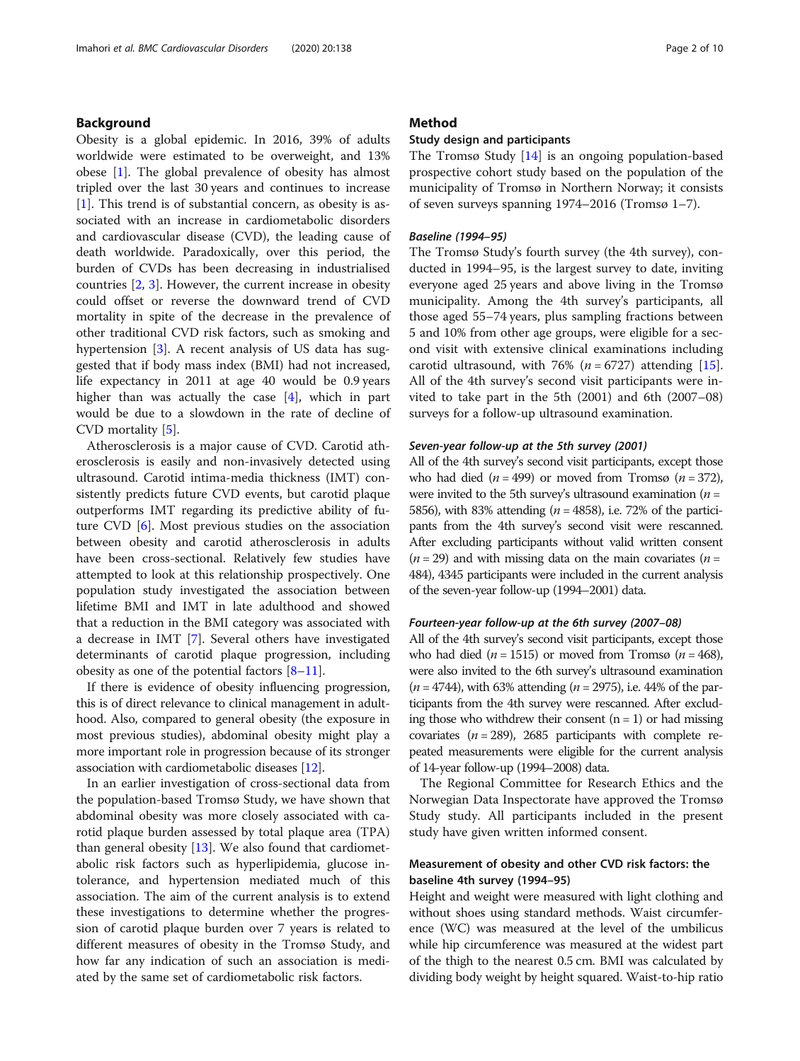#### Background

Obesity is a global epidemic. In 2016, 39% of adults worldwide were estimated to be overweight, and 13% obese [\[1](#page-8-0)]. The global prevalence of obesity has almost tripled over the last 30 years and continues to increase [[1\]](#page-8-0). This trend is of substantial concern, as obesity is associated with an increase in cardiometabolic disorders and cardiovascular disease (CVD), the leading cause of death worldwide. Paradoxically, over this period, the burden of CVDs has been decreasing in industrialised countries [[2,](#page-8-0) [3\]](#page-8-0). However, the current increase in obesity could offset or reverse the downward trend of CVD mortality in spite of the decrease in the prevalence of other traditional CVD risk factors, such as smoking and hypertension [[3\]](#page-8-0). A recent analysis of US data has suggested that if body mass index (BMI) had not increased, life expectancy in 2011 at age 40 would be 0.9 years higher than was actually the case  $[4]$  $[4]$ , which in part would be due to a slowdown in the rate of decline of CVD mortality [[5](#page-8-0)].

Atherosclerosis is a major cause of CVD. Carotid atherosclerosis is easily and non-invasively detected using ultrasound. Carotid intima-media thickness (IMT) consistently predicts future CVD events, but carotid plaque outperforms IMT regarding its predictive ability of future CVD [[6\]](#page-8-0). Most previous studies on the association between obesity and carotid atherosclerosis in adults have been cross-sectional. Relatively few studies have attempted to look at this relationship prospectively. One population study investigated the association between lifetime BMI and IMT in late adulthood and showed that a reduction in the BMI category was associated with a decrease in IMT [\[7](#page-8-0)]. Several others have investigated determinants of carotid plaque progression, including obesity as one of the potential factors  $[8-11]$  $[8-11]$  $[8-11]$ .

If there is evidence of obesity influencing progression, this is of direct relevance to clinical management in adulthood. Also, compared to general obesity (the exposure in most previous studies), abdominal obesity might play a more important role in progression because of its stronger association with cardiometabolic diseases [\[12\]](#page-8-0).

In an earlier investigation of cross-sectional data from the population-based Tromsø Study, we have shown that abdominal obesity was more closely associated with carotid plaque burden assessed by total plaque area (TPA) than general obesity [\[13](#page-8-0)]. We also found that cardiometabolic risk factors such as hyperlipidemia, glucose intolerance, and hypertension mediated much of this association. The aim of the current analysis is to extend these investigations to determine whether the progression of carotid plaque burden over 7 years is related to different measures of obesity in the Tromsø Study, and how far any indication of such an association is mediated by the same set of cardiometabolic risk factors.

## Method

#### Study design and participants

The Tromsø Study [[14\]](#page-8-0) is an ongoing population-based prospective cohort study based on the population of the municipality of Tromsø in Northern Norway; it consists of seven surveys spanning 1974–2016 (Tromsø 1–7).

#### Baseline (1994–95)

The Tromsø Study's fourth survey (the 4th survey), conducted in 1994–95, is the largest survey to date, inviting everyone aged 25 years and above living in the Tromsø municipality. Among the 4th survey's participants, all those aged 55–74 years, plus sampling fractions between 5 and 10% from other age groups, were eligible for a second visit with extensive clinical examinations including carotid ultrasound, with 76% ( $n = 6727$ ) attending [\[15](#page-8-0)]. All of the 4th survey's second visit participants were invited to take part in the 5th (2001) and 6th (2007–08) surveys for a follow-up ultrasound examination.

#### Seven-year follow-up at the 5th survey (2001)

All of the 4th survey's second visit participants, except those who had died  $(n = 499)$  or moved from Tromsø  $(n = 372)$ , were invited to the 5th survey's ultrasound examination  $(n =$ 5856), with 83% attending ( $n = 4858$ ), i.e. 72% of the participants from the 4th survey's second visit were rescanned. After excluding participants without valid written consent  $(n = 29)$  and with missing data on the main covariates  $(n = 11)$ 484), 4345 participants were included in the current analysis of the seven-year follow-up (1994–2001) data.

#### Fourteen-year follow-up at the 6th survey (2007–08)

All of the 4th survey's second visit participants, except those who had died ( $n = 1515$ ) or moved from Tromsø ( $n = 468$ ), were also invited to the 6th survey's ultrasound examination  $(n = 4744)$ , with 63% attending  $(n = 2975)$ , i.e. 44% of the participants from the 4th survey were rescanned. After excluding those who withdrew their consent  $(n = 1)$  or had missing covariates  $(n = 289)$ , 2685 participants with complete repeated measurements were eligible for the current analysis of 14-year follow-up (1994–2008) data.

The Regional Committee for Research Ethics and the Norwegian Data Inspectorate have approved the Tromsø Study study. All participants included in the present study have given written informed consent.

## Measurement of obesity and other CVD risk factors: the baseline 4th survey (1994–95)

Height and weight were measured with light clothing and without shoes using standard methods. Waist circumference (WC) was measured at the level of the umbilicus while hip circumference was measured at the widest part of the thigh to the nearest 0.5 cm. BMI was calculated by dividing body weight by height squared. Waist-to-hip ratio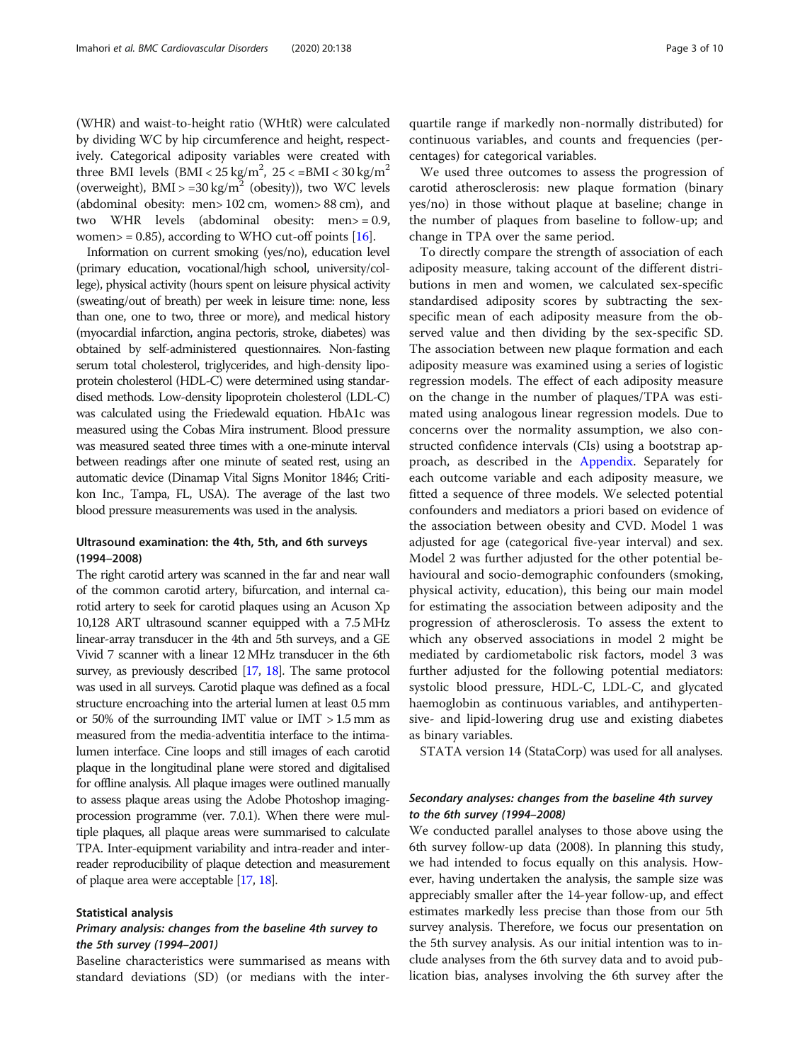(WHR) and waist-to-height ratio (WHtR) were calculated by dividing WC by hip circumference and height, respectively. Categorical adiposity variables were created with three BMI levels  $(BMI < 25 \text{ kg/m}^2, 25 < -BMI < 30 \text{ kg/m}^2$ (overweight),  $BMI > =30$  kg/m<sup>2</sup> (obesity)), two WC levels (abdominal obesity: men> 102 cm, women> 88 cm), and two WHR levels (abdominal obesity: men> = 0.9, women $>$  = 0.85), according to WHO cut-off points [\[16\]](#page-9-0).

Information on current smoking (yes/no), education level (primary education, vocational/high school, university/college), physical activity (hours spent on leisure physical activity (sweating/out of breath) per week in leisure time: none, less than one, one to two, three or more), and medical history (myocardial infarction, angina pectoris, stroke, diabetes) was obtained by self-administered questionnaires. Non-fasting serum total cholesterol, triglycerides, and high-density lipoprotein cholesterol (HDL-C) were determined using standardised methods. Low-density lipoprotein cholesterol (LDL-C) was calculated using the Friedewald equation. HbA1c was measured using the Cobas Mira instrument. Blood pressure was measured seated three times with a one-minute interval between readings after one minute of seated rest, using an automatic device (Dinamap Vital Signs Monitor 1846; Critikon Inc., Tampa, FL, USA). The average of the last two blood pressure measurements was used in the analysis.

#### Ultrasound examination: the 4th, 5th, and 6th surveys (1994–2008)

The right carotid artery was scanned in the far and near wall of the common carotid artery, bifurcation, and internal carotid artery to seek for carotid plaques using an Acuson Xp 10,128 ART ultrasound scanner equipped with a 7.5 MHz linear-array transducer in the 4th and 5th surveys, and a GE Vivid 7 scanner with a linear 12 MHz transducer in the 6th survey, as previously described [\[17](#page-9-0), [18](#page-9-0)]. The same protocol was used in all surveys. Carotid plaque was defined as a focal structure encroaching into the arterial lumen at least 0.5 mm or 50% of the surrounding IMT value or IMT > 1.5 mm as measured from the media-adventitia interface to the intimalumen interface. Cine loops and still images of each carotid plaque in the longitudinal plane were stored and digitalised for offline analysis. All plaque images were outlined manually to assess plaque areas using the Adobe Photoshop imagingprocession programme (ver. 7.0.1). When there were multiple plaques, all plaque areas were summarised to calculate TPA. Inter-equipment variability and intra-reader and interreader reproducibility of plaque detection and measurement of plaque area were acceptable [\[17](#page-9-0), [18\]](#page-9-0).

#### Statistical analysis

## Primary analysis: changes from the baseline 4th survey to the 5th survey (1994–2001)

Baseline characteristics were summarised as means with standard deviations (SD) (or medians with the inter-

We used three outcomes to assess the progression of carotid atherosclerosis: new plaque formation (binary yes/no) in those without plaque at baseline; change in the number of plaques from baseline to follow-up; and change in TPA over the same period.

To directly compare the strength of association of each adiposity measure, taking account of the different distributions in men and women, we calculated sex-specific standardised adiposity scores by subtracting the sexspecific mean of each adiposity measure from the observed value and then dividing by the sex-specific SD. The association between new plaque formation and each adiposity measure was examined using a series of logistic regression models. The effect of each adiposity measure on the change in the number of plaques/TPA was estimated using analogous linear regression models. Due to concerns over the normality assumption, we also constructed confidence intervals (CIs) using a bootstrap approach, as described in the [Appendix.](#page-8-0) Separately for each outcome variable and each adiposity measure, we fitted a sequence of three models. We selected potential confounders and mediators a priori based on evidence of the association between obesity and CVD. Model 1 was adjusted for age (categorical five-year interval) and sex. Model 2 was further adjusted for the other potential behavioural and socio-demographic confounders (smoking, physical activity, education), this being our main model for estimating the association between adiposity and the progression of atherosclerosis. To assess the extent to which any observed associations in model 2 might be mediated by cardiometabolic risk factors, model 3 was further adjusted for the following potential mediators: systolic blood pressure, HDL-C, LDL-C, and glycated haemoglobin as continuous variables, and antihypertensive- and lipid-lowering drug use and existing diabetes as binary variables.

STATA version 14 (StataCorp) was used for all analyses.

## Secondary analyses: changes from the baseline 4th survey to the 6th survey (1994–2008)

We conducted parallel analyses to those above using the 6th survey follow-up data (2008). In planning this study, we had intended to focus equally on this analysis. However, having undertaken the analysis, the sample size was appreciably smaller after the 14-year follow-up, and effect estimates markedly less precise than those from our 5th survey analysis. Therefore, we focus our presentation on the 5th survey analysis. As our initial intention was to include analyses from the 6th survey data and to avoid publication bias, analyses involving the 6th survey after the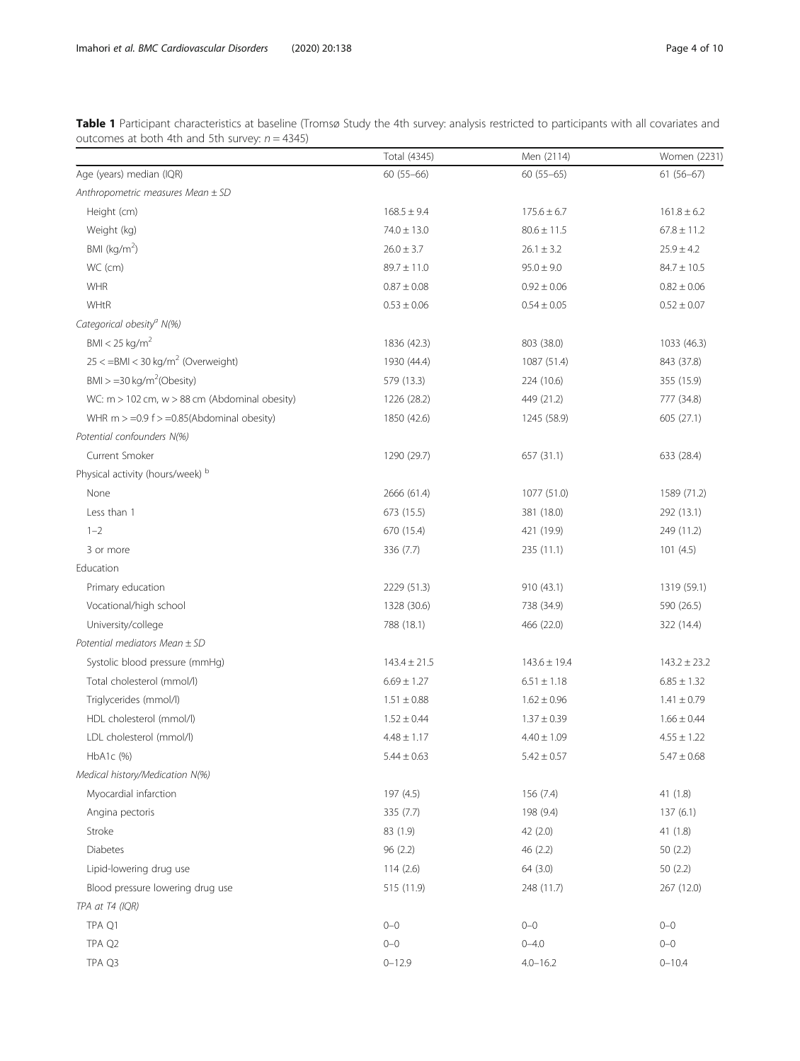<span id="page-3-0"></span>Table 1 Participant characteristics at baseline (Tromsø Study the 4th survey: analysis restricted to participants with all covariates and outcomes at both 4th and 5th survey:  $n = 4345$ )

|                                                   | Total (4345)     | Men (2114)       | Women (2231)     |
|---------------------------------------------------|------------------|------------------|------------------|
| Age (years) median (IQR)                          | $60(55 - 66)$    | $60(55-65)$      | $61(56-67)$      |
| Anthropometric measures Mean $\pm$ SD             |                  |                  |                  |
| Height (cm)                                       | $168.5 \pm 9.4$  | $175.6 \pm 6.7$  | $161.8 \pm 6.2$  |
| Weight (kg)                                       | $74.0 \pm 13.0$  | $80.6 \pm 11.5$  | $67.8 \pm 11.2$  |
| BMI ( $kg/m2$ )                                   | $26.0 \pm 3.7$   | $26.1 \pm 3.2$   | $25.9 \pm 4.2$   |
| WC (cm)                                           | $89.7 \pm 11.0$  | $95.0 \pm 9.0$   | $84.7 \pm 10.5$  |
| <b>WHR</b>                                        | $0.87 \pm 0.08$  | $0.92 \pm 0.06$  | $0.82 \pm 0.06$  |
| WHtR                                              | $0.53 \pm 0.06$  | $0.54 \pm 0.05$  | $0.52 \pm 0.07$  |
| Categorical obesity <sup>a</sup> N(%)             |                  |                  |                  |
| $BMI < 25$ kg/m <sup>2</sup>                      | 1836 (42.3)      | 803 (38.0)       | 1033 (46.3)      |
| $25 < =$ BMI < 30 kg/m <sup>2</sup> (Overweight)  | 1930 (44.4)      | 1087 (51.4)      | 843 (37.8)       |
| $BMI > = 30 \text{ kg/m}^2(\text{Obesity})$       | 579 (13.3)       | 224 (10.6)       | 355 (15.9)       |
| WC: $m > 102$ cm, $w > 88$ cm (Abdominal obesity) | 1226 (28.2)      | 449 (21.2)       | 777 (34.8)       |
| WHR m $> = 0.9$ f $> = 0.85$ (Abdominal obesity)  | 1850 (42.6)      | 1245 (58.9)      | 605 (27.1)       |
| Potential confounders N(%)                        |                  |                  |                  |
| Current Smoker                                    | 1290 (29.7)      | 657 (31.1)       | 633 (28.4)       |
| Physical activity (hours/week) b                  |                  |                  |                  |
| None                                              | 2666 (61.4)      | 1077 (51.0)      | 1589 (71.2)      |
| Less than 1                                       | 673 (15.5)       | 381 (18.0)       | 292 (13.1)       |
| $1 - 2$                                           | 670 (15.4)       | 421 (19.9)       | 249 (11.2)       |
| 3 or more                                         | 336 (7.7)        | 235 (11.1)       | 101(4.5)         |
| Education                                         |                  |                  |                  |
| Primary education                                 | 2229 (51.3)      | 910 (43.1)       | 1319 (59.1)      |
| Vocational/high school                            | 1328 (30.6)      | 738 (34.9)       | 590 (26.5)       |
| University/college                                | 788 (18.1)       | 466 (22.0)       | 322 (14.4)       |
| Potential mediators Mean ± SD                     |                  |                  |                  |
| Systolic blood pressure (mmHg)                    | $143.4 \pm 21.5$ | $143.6 \pm 19.4$ | $143.2 \pm 23.2$ |
| Total cholesterol (mmol/l)                        | $6.69 \pm 1.27$  | $6.51 \pm 1.18$  | $6.85 \pm 1.32$  |
| Triglycerides (mmol/l)                            | $1.51 \pm 0.88$  | $1.62 \pm 0.96$  | $1.41 \pm 0.79$  |
| HDL cholesterol (mmol/l)                          | $1.52 \pm 0.44$  | $1.37 \pm 0.39$  | $1.66 \pm 0.44$  |
| LDL cholesterol (mmol/l)                          | $4.48 \pm 1.17$  | $4.40 \pm 1.09$  | $4.55 \pm 1.22$  |
| HbA1c (%)                                         | $5.44 \pm 0.63$  | $5.42 \pm 0.57$  | $5.47 \pm 0.68$  |
| Medical history/Medication N(%)                   |                  |                  |                  |
| Myocardial infarction                             | 197 (4.5)        | 156 (7.4)        | 41(1.8)          |
| Angina pectoris                                   | 335 (7.7)        | 198 (9.4)        | 137(6.1)         |
| Stroke                                            | 83 (1.9)         | 42 (2.0)         | 41(1.8)          |
| Diabetes                                          | 96(2.2)          | 46(2.2)          | 50(2.2)          |
| Lipid-lowering drug use                           | 114(2.6)         | 64 (3.0)         | 50 (2.2)         |
| Blood pressure lowering drug use                  | 515 (11.9)       | 248 (11.7)       | 267 (12.0)       |
| TPA at T4 (IQR)                                   |                  |                  |                  |
| TPA Q1                                            | $0 - 0$          | $0 - 0$          | $0 - 0$          |
| TPA Q2                                            | $0 - 0$          | $0 - 4.0$        | $0 - 0$          |
| TPA Q3                                            | $0 - 12.9$       | $4.0 - 16.2$     | $0 - 10.4$       |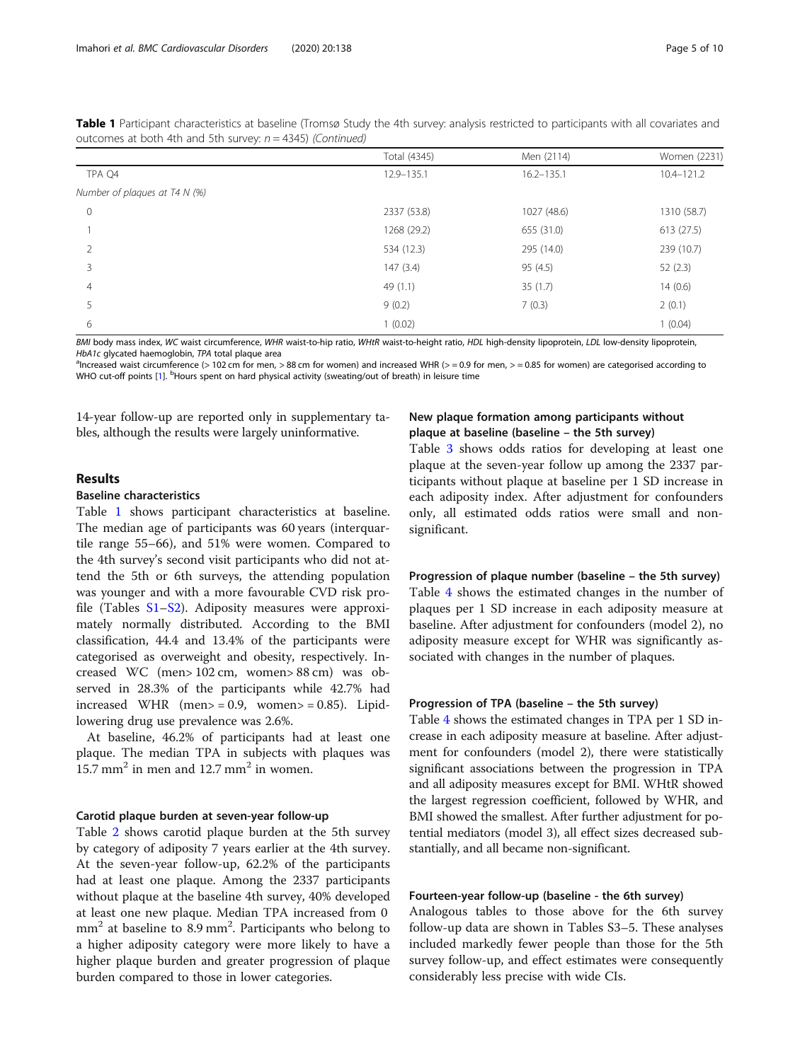| $\overline{\phantom{a}}$        | $\sim$       |                |              |
|---------------------------------|--------------|----------------|--------------|
|                                 | Total (4345) | Men (2114)     | Women (2231) |
| TPA Q4                          | 12.9-135.1   | $16.2 - 135.1$ | 10.4-121.2   |
| Number of plaques at $T4 N$ (%) |              |                |              |
| $\mathbf{0}$                    | 2337 (53.8)  | 1027 (48.6)    | 1310 (58.7)  |
|                                 | 1268 (29.2)  | 655 (31.0)     | 613(27.5)    |
| $\mathfrak{D}$                  | 534 (12.3)   | 295 (14.0)     | 239 (10.7)   |
| 3                               | 147(3.4)     | 95(4.5)        | 52(2.3)      |
| $\overline{4}$                  | 49(1.1)      | 35(1.7)        | 14(0.6)      |
| 5                               | 9(0.2)       | 7(0.3)         | 2(0.1)       |
| 6                               | 1(0.02)      |                | 1(0.04)      |
|                                 |              |                |              |

Table 1 Participant characteristics at baseline (Tromsø Study the 4th survey: analysis restricted to participants with all covariates and outcomes at both 4th and 5th survey:  $n = 4345$ ) (Continued)

BMI body mass index, WC waist circumference, WHR waist-to-hip ratio, WHtR waist-to-height ratio, HDL high-density lipoprotein, LDL low-density lipoprotein, HbA1c glycated haemoglobin, TPA total plaque area

<sup>a</sup>Increased waist circumference (> 102 cm for men, > 88 cm for women) and increased WHR (> = 0.9 for men, > = 0.85 for women) are categorised according to WHO cut-off points [[1](#page-8-0)]. <sup>b</sup>Hours spent on hard physical activity (sweating/out of breath) in leisure time

14-year follow-up are reported only in supplementary tables, although the results were largely uninformative.

#### Results

## Baseline characteristics

Table [1](#page-3-0) shows participant characteristics at baseline. The median age of participants was 60 years (interquartile range 55–66), and 51% were women. Compared to the 4th survey's second visit participants who did not attend the 5th or 6th surveys, the attending population was younger and with a more favourable CVD risk profile (Tables  $S1-S2$  $S1-S2$ ). Adiposity measures were approximately normally distributed. According to the BMI classification, 44.4 and 13.4% of the participants were categorised as overweight and obesity, respectively. Increased WC (men> 102 cm, women> 88 cm) was observed in 28.3% of the participants while 42.7% had increased WHR  $(men > = 0.9, women > = 0.85)$ . Lipidlowering drug use prevalence was 2.6%.

At baseline, 46.2% of participants had at least one plaque. The median TPA in subjects with plaques was 15.7 mm<sup>2</sup> in men and 12.7 mm<sup>2</sup> in women.

#### Carotid plaque burden at seven-year follow-up

Table [2](#page-5-0) shows carotid plaque burden at the 5th survey by category of adiposity 7 years earlier at the 4th survey. At the seven-year follow-up, 62.2% of the participants had at least one plaque. Among the 2337 participants without plaque at the baseline 4th survey, 40% developed at least one new plaque. Median TPA increased from 0 mm<sup>2</sup> at baseline to 8.9 mm<sup>2</sup>. Participants who belong to a higher adiposity category were more likely to have a higher plaque burden and greater progression of plaque burden compared to those in lower categories.

#### New plaque formation among participants without plaque at baseline (baseline – the 5th survey)

Table [3](#page-6-0) shows odds ratios for developing at least one plaque at the seven-year follow up among the 2337 participants without plaque at baseline per 1 SD increase in each adiposity index. After adjustment for confounders only, all estimated odds ratios were small and nonsignificant.

Progression of plaque number (baseline – the 5th survey) Table [4](#page-6-0) shows the estimated changes in the number of plaques per 1 SD increase in each adiposity measure at baseline. After adjustment for confounders (model 2), no adiposity measure except for WHR was significantly associated with changes in the number of plaques.

#### Progression of TPA (baseline – the 5th survey)

Table [4](#page-6-0) shows the estimated changes in TPA per 1 SD increase in each adiposity measure at baseline. After adjustment for confounders (model 2), there were statistically significant associations between the progression in TPA and all adiposity measures except for BMI. WHtR showed the largest regression coefficient, followed by WHR, and BMI showed the smallest. After further adjustment for potential mediators (model 3), all effect sizes decreased substantially, and all became non-significant.

#### Fourteen-year follow-up (baseline - the 6th survey)

Analogous tables to those above for the 6th survey follow-up data are shown in Tables S3–5. These analyses included markedly fewer people than those for the 5th survey follow-up, and effect estimates were consequently considerably less precise with wide CIs.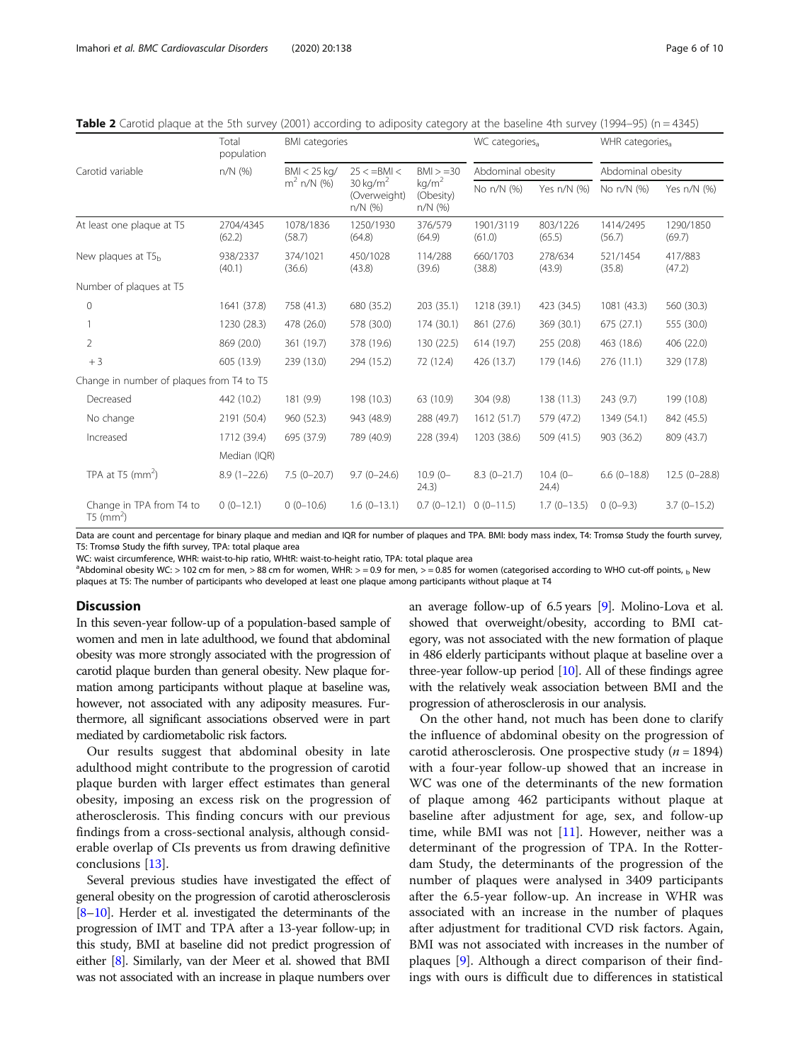<span id="page-5-0"></span>Table 2 Carotid plaque at the 5th survey (2001) according to adiposity category at the baseline 4th survey (1994–95) (n = 4345)

|                                                     | Total<br>population | <b>BMI</b> categories           |                                                          |                                                             | WC categories <sub>a</sub> |                     | WHR categories,     |                     |
|-----------------------------------------------------|---------------------|---------------------------------|----------------------------------------------------------|-------------------------------------------------------------|----------------------------|---------------------|---------------------|---------------------|
| Carotid variable                                    | $n/N$ (%)           | $BMI < 25$ kg/<br>$m^2$ n/N (%) | $25 < -BM <$<br>30 kg/ $m2$<br>(Overweight)<br>$n/N$ (%) | $BMI > = 30$<br>kg/m <sup>2</sup><br>(Obesity)<br>$n/N$ (%) | Abdominal obesity          |                     | Abdominal obesity   |                     |
|                                                     |                     |                                 |                                                          |                                                             | No n/N (%)                 | Yes n/N (%)         | No n/N (%)          | Yes n/N (%)         |
| At least one plaque at T5                           | 2704/4345<br>(62.2) | 1078/1836<br>(58.7)             | 1250/1930<br>(64.8)                                      | 376/579<br>(64.9)                                           | 1901/3119<br>(61.0)        | 803/1226<br>(65.5)  | 1414/2495<br>(56.7) | 1290/1850<br>(69.7) |
| New plaques at T5 <sub>h</sub>                      | 938/2337<br>(40.1)  | 374/1021<br>(36.6)              | 450/1028<br>(43.8)                                       | 114/288<br>(39.6)                                           | 660/1703<br>(38.8)         | 278/634<br>(43.9)   | 521/1454<br>(35.8)  | 417/883<br>(47.2)   |
| Number of plaques at T5                             |                     |                                 |                                                          |                                                             |                            |                     |                     |                     |
| $\mathbf{0}$                                        | 1641 (37.8)         | 758 (41.3)                      | 680 (35.2)                                               | 203 (35.1)                                                  | 1218 (39.1)                | 423 (34.5)          | 1081 (43.3)         | 560 (30.3)          |
|                                                     | 1230 (28.3)         | 478 (26.0)                      | 578 (30.0)                                               | 174 (30.1)                                                  | 861 (27.6)                 | 369 (30.1)          | 675 (27.1)          | 555 (30.0)          |
| $\overline{2}$                                      | 869 (20.0)          | 361 (19.7)                      | 378 (19.6)                                               | 130 (22.5)                                                  | 614 (19.7)                 | 255 (20.8)          | 463 (18.6)          | 406 (22.0)          |
| $+3$                                                | 605 (13.9)          | 239 (13.0)                      | 294 (15.2)                                               | 72 (12.4)                                                   | 426 (13.7)                 | 179 (14.6)          | 276(11.1)           | 329 (17.8)          |
| Change in number of plaques from T4 to T5           |                     |                                 |                                                          |                                                             |                            |                     |                     |                     |
| Decreased                                           | 442 (10.2)          | 181 (9.9)                       | 198 (10.3)                                               | 63 (10.9)                                                   | 304 (9.8)                  | 138 (11.3)          | 243 (9.7)           | 199 (10.8)          |
| No change                                           | 2191 (50.4)         | 960 (52.3)                      | 943 (48.9)                                               | 288 (49.7)                                                  | 1612 (51.7)                | 579 (47.2)          | 1349 (54.1)         | 842 (45.5)          |
| Increased                                           | 1712 (39.4)         | 695 (37.9)                      | 789 (40.9)                                               | 228 (39.4)                                                  | 1203 (38.6)                | 509 (41.5)          | 903 (36.2)          | 809 (43.7)          |
|                                                     | Median (IQR)        |                                 |                                                          |                                                             |                            |                     |                     |                     |
| TPA at T5 $\text{mm}^2$ )                           | $8.9(1-22.6)$       | $7.5(0-20.7)$                   | $9.7(0-24.6)$                                            | $10.9(0 -$<br>24.3)                                         | $8.3(0-21.7)$              | $10.4(0 -$<br>24.4) | $6.6(0-18.8)$       | $12.5(0-28.8)$      |
| Change in TPA from T4 to<br>$T5$ (mm <sup>2</sup> ) | $0(0-12.1)$         | $0(0-10.6)$                     | $1.6(0-13.1)$                                            | $0.7(0-12.1)$                                               | $0(0-11.5)$                | $1.7(0-13.5)$       | $0(0-9.3)$          | $3.7(0-15.2)$       |

Data are count and percentage for binary plaque and median and IQR for number of plaques and TPA. BMI: body mass index, T4: Tromsø Study the fourth survey, T5: Tromsø Study the fifth survey, TPA: total plaque area

WC: waist circumference, WHR: waist-to-hip ratio, WHtR: waist-to-height ratio, TPA: total plaque area

<sup>a</sup>Abdominal obesity WC: > 102 cm for men, > 88 cm for women, WHR: >=0.9 for men, >=0.85 for women (categorised according to WHO cut-off points, <sub>b</sub> New plaques at T5: The number of participants who developed at least one plaque among participants without plaque at T4

#### **Discussion**

In this seven-year follow-up of a population-based sample of women and men in late adulthood, we found that abdominal obesity was more strongly associated with the progression of carotid plaque burden than general obesity. New plaque formation among participants without plaque at baseline was, however, not associated with any adiposity measures. Furthermore, all significant associations observed were in part mediated by cardiometabolic risk factors.

Our results suggest that abdominal obesity in late adulthood might contribute to the progression of carotid plaque burden with larger effect estimates than general obesity, imposing an excess risk on the progression of atherosclerosis. This finding concurs with our previous findings from a cross-sectional analysis, although considerable overlap of CIs prevents us from drawing definitive conclusions [[13](#page-8-0)].

Several previous studies have investigated the effect of general obesity on the progression of carotid atherosclerosis [[8](#page-8-0)–[10\]](#page-8-0). Herder et al. investigated the determinants of the progression of IMT and TPA after a 13-year follow-up; in this study, BMI at baseline did not predict progression of either [[8](#page-8-0)]. Similarly, van der Meer et al. showed that BMI was not associated with an increase in plaque numbers over

an average follow-up of 6.5 years [\[9\]](#page-8-0). Molino-Lova et al. showed that overweight/obesity, according to BMI category, was not associated with the new formation of plaque in 486 elderly participants without plaque at baseline over a three-year follow-up period [[10\]](#page-8-0). All of these findings agree with the relatively weak association between BMI and the progression of atherosclerosis in our analysis.

On the other hand, not much has been done to clarify the influence of abdominal obesity on the progression of carotid atherosclerosis. One prospective study ( $n = 1894$ ) with a four-year follow-up showed that an increase in WC was one of the determinants of the new formation of plaque among 462 participants without plaque at baseline after adjustment for age, sex, and follow-up time, while BMI was not [[11\]](#page-8-0). However, neither was a determinant of the progression of TPA. In the Rotterdam Study, the determinants of the progression of the number of plaques were analysed in 3409 participants after the 6.5-year follow-up. An increase in WHR was associated with an increase in the number of plaques after adjustment for traditional CVD risk factors. Again, BMI was not associated with increases in the number of plaques [\[9](#page-8-0)]. Although a direct comparison of their findings with ours is difficult due to differences in statistical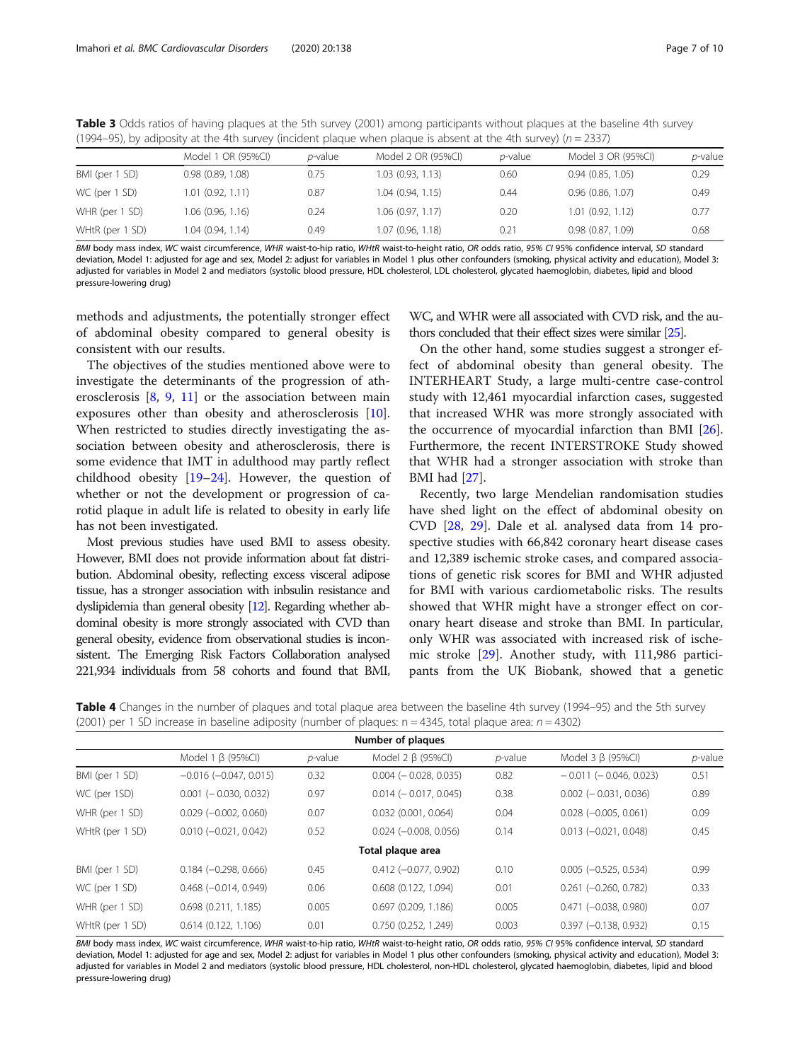<span id="page-6-0"></span>**Table 3** Odds ratios of having plaques at the 5th survey (2001) among participants without plaques at the baseline 4th survey (1994–95), by adiposity at the 4th survey (incident plaque when plaque is absent at the 4th survey) ( $n = 2337$ )

|                 | Model 1 OR (95%CI) | <i>p</i> -value | Model 2 OR (95%CI) | <i>p</i> -value | Model 3 OR (95%CI)  | <i>p</i> -value |
|-----------------|--------------------|-----------------|--------------------|-----------------|---------------------|-----------------|
| BMI (per 1 SD)  | 0.98(0.89, 1.08)   | 0.75            | 1.03(0.93, 1.13)   | 0.60            | 0.94(0.85, 1.05)    | 0.29            |
| WC (per 1 SD)   | 1.01(0.92, 1.11)   | 0.87            | 1.04(0.94, 1.15)   | 0.44            | $0.96$ (0.86, 1.07) | 0.49            |
| WHR (per 1 SD)  | 1.06(0.96, 1.16)   | 0.24            | 1.06(0.97, 1.17)   | 0.20            | 1.01 (0.92, 1.12)   | 0.77            |
| WHtR (per 1 SD) | 1.04 (0.94, 1.14)  | 0.49            | 1.07(0.96, 1.18)   | 0.21            | 0.98(0.87, 1.09)    | 0.68            |

BMI body mass index, WC waist circumference, WHR waist-to-hip ratio, WHtR waist-to-height ratio, OR odds ratio, 95% CI 95% confidence interval, SD standard deviation, Model 1: adjusted for age and sex, Model 2: adjust for variables in Model 1 plus other confounders (smoking, physical activity and education), Model 3: adjusted for variables in Model 2 and mediators (systolic blood pressure, HDL cholesterol, LDL cholesterol, glycated haemoglobin, diabetes, lipid and blood pressure-lowering drug)

methods and adjustments, the potentially stronger effect of abdominal obesity compared to general obesity is consistent with our results.

The objectives of the studies mentioned above were to investigate the determinants of the progression of atherosclerosis [[8](#page-8-0), [9](#page-8-0), [11](#page-8-0)] or the association between main exposures other than obesity and atherosclerosis [\[10](#page-8-0)]. When restricted to studies directly investigating the association between obesity and atherosclerosis, there is some evidence that IMT in adulthood may partly reflect childhood obesity [\[19](#page-9-0)–[24\]](#page-9-0). However, the question of whether or not the development or progression of carotid plaque in adult life is related to obesity in early life has not been investigated.

Most previous studies have used BMI to assess obesity. However, BMI does not provide information about fat distribution. Abdominal obesity, reflecting excess visceral adipose tissue, has a stronger association with inbsulin resistance and dyslipidemia than general obesity [\[12](#page-8-0)]. Regarding whether abdominal obesity is more strongly associated with CVD than general obesity, evidence from observational studies is inconsistent. The Emerging Risk Factors Collaboration analysed 221,934 individuals from 58 cohorts and found that BMI, WC, and WHR were all associated with CVD risk, and the authors concluded that their effect sizes were similar [\[25](#page-9-0)].

On the other hand, some studies suggest a stronger effect of abdominal obesity than general obesity. The INTERHEART Study, a large multi-centre case-control study with 12,461 myocardial infarction cases, suggested that increased WHR was more strongly associated with the occurrence of myocardial infarction than BMI [\[26](#page-9-0)]. Furthermore, the recent INTERSTROKE Study showed that WHR had a stronger association with stroke than BMI had [[27\]](#page-9-0).

Recently, two large Mendelian randomisation studies have shed light on the effect of abdominal obesity on CVD [\[28](#page-9-0), [29\]](#page-9-0). Dale et al. analysed data from 14 prospective studies with 66,842 coronary heart disease cases and 12,389 ischemic stroke cases, and compared associations of genetic risk scores for BMI and WHR adjusted for BMI with various cardiometabolic risks. The results showed that WHR might have a stronger effect on coronary heart disease and stroke than BMI. In particular, only WHR was associated with increased risk of ischemic stroke [\[29\]](#page-9-0). Another study, with 111,986 participants from the UK Biobank, showed that a genetic

Table 4 Changes in the number of plagues and total plague area between the baseline 4th survey (1994–95) and the 5th survey (2001) per 1 SD increase in baseline adiposity (number of plaques:  $n = 4345$ , total plaque area:  $n = 4302$ )

| Number of plaques |                                |            |                             |            |                              |            |  |  |
|-------------------|--------------------------------|------------|-----------------------------|------------|------------------------------|------------|--|--|
|                   | Model 1 $\beta$ (95%CI)        | $p$ -value | Model $2 \beta$ (95%CI)     | $p$ -value | Model $3 \beta$ (95%CI)      | $p$ -value |  |  |
| BMI (per 1 SD)    | $-0.016$ ( $-0.047$ , 0.015)   | 0.32       | $0.004$ ( $-0.028$ , 0.035) | 0.82       | $-0.011$ ( $-0.046$ , 0.023) | 0.51       |  |  |
| WC (per 1SD)      | $0.001$ ( $-0.030$ , $0.032$ ) | 0.97       | $0.014 (-0.017, 0.045)$     | 0.38       | $0.002$ (- 0.031, 0.036)     | 0.89       |  |  |
| WHR (per 1 SD)    | $0.029$ (-0.002, 0.060)        | 0.07       | $0.032$ (0.001, 0.064)      | 0.04       | $0.028 (-0.005, 0.061)$      | 0.09       |  |  |
| WHtR (per 1 SD)   | $0.010 (-0.021, 0.042)$        | 0.52       | $0.024 (-0.008, 0.056)$     | 0.14       | $0.013 (-0.021, 0.048)$      | 0.45       |  |  |
|                   |                                |            | Total plaque area           |            |                              |            |  |  |
| BMI (per 1 SD)    | $0.184 (-0.298, 0.666)$        | 0.45       | $0.412 (-0.077, 0.902)$     | 0.10       | $0.005 (-0.525, 0.534)$      | 0.99       |  |  |
| WC (per 1 SD)     | $0.468$ ( $-0.014$ , $0.949$ ) | 0.06       | $0.608$ $(0.122, 1.094)$    | 0.01       | $0.261 (-0.260, 0.782)$      | 0.33       |  |  |
| WHR (per 1 SD)    | 0.698(0.211, 1.185)            | 0.005      | 0.697(0.209, 1.186)         | 0.005      | $0.471 (-0.038, 0.980)$      | 0.07       |  |  |
| WHtR (per 1 SD)   | 0.614(0.122, 1.106)            | 0.01       | $0.750$ (0.252, 1.249)      | 0.003      | $0.397 (-0.138, 0.932)$      | 0.15       |  |  |

BMI body mass index, WC waist circumference, WHR waist-to-hip ratio, WHtR waist-to-height ratio, OR odds ratio, 95% CI 95% confidence interval, SD standard deviation, Model 1: adjusted for age and sex, Model 2: adjust for variables in Model 1 plus other confounders (smoking, physical activity and education), Model 3: adjusted for variables in Model 2 and mediators (systolic blood pressure, HDL cholesterol, non-HDL cholesterol, glycated haemoglobin, diabetes, lipid and blood pressure-lowering drug)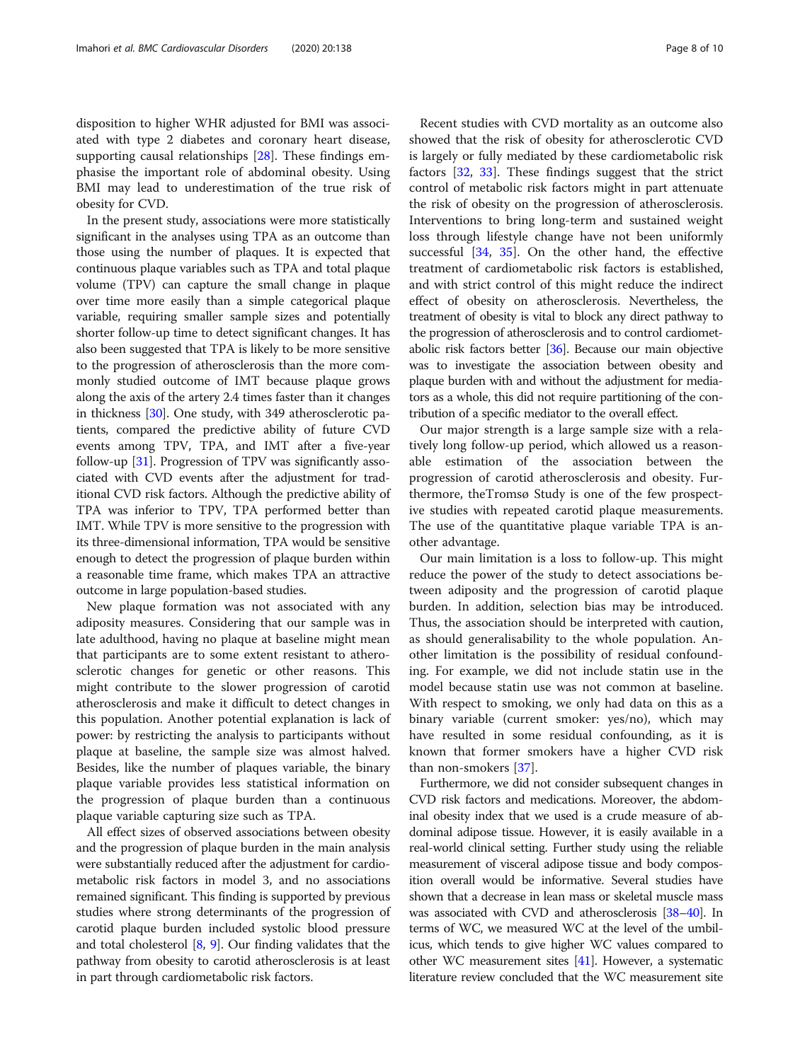disposition to higher WHR adjusted for BMI was associated with type 2 diabetes and coronary heart disease, supporting causal relationships [[28](#page-9-0)]. These findings emphasise the important role of abdominal obesity. Using BMI may lead to underestimation of the true risk of obesity for CVD.

In the present study, associations were more statistically significant in the analyses using TPA as an outcome than those using the number of plaques. It is expected that continuous plaque variables such as TPA and total plaque volume (TPV) can capture the small change in plaque over time more easily than a simple categorical plaque variable, requiring smaller sample sizes and potentially shorter follow-up time to detect significant changes. It has also been suggested that TPA is likely to be more sensitive to the progression of atherosclerosis than the more commonly studied outcome of IMT because plaque grows along the axis of the artery 2.4 times faster than it changes in thickness [\[30\]](#page-9-0). One study, with 349 atherosclerotic patients, compared the predictive ability of future CVD events among TPV, TPA, and IMT after a five-year follow-up [\[31\]](#page-9-0). Progression of TPV was significantly associated with CVD events after the adjustment for traditional CVD risk factors. Although the predictive ability of TPA was inferior to TPV, TPA performed better than IMT. While TPV is more sensitive to the progression with its three-dimensional information, TPA would be sensitive enough to detect the progression of plaque burden within a reasonable time frame, which makes TPA an attractive outcome in large population-based studies.

New plaque formation was not associated with any adiposity measures. Considering that our sample was in late adulthood, having no plaque at baseline might mean that participants are to some extent resistant to atherosclerotic changes for genetic or other reasons. This might contribute to the slower progression of carotid atherosclerosis and make it difficult to detect changes in this population. Another potential explanation is lack of power: by restricting the analysis to participants without plaque at baseline, the sample size was almost halved. Besides, like the number of plaques variable, the binary plaque variable provides less statistical information on the progression of plaque burden than a continuous plaque variable capturing size such as TPA.

All effect sizes of observed associations between obesity and the progression of plaque burden in the main analysis were substantially reduced after the adjustment for cardiometabolic risk factors in model 3, and no associations remained significant. This finding is supported by previous studies where strong determinants of the progression of carotid plaque burden included systolic blood pressure and total cholesterol [\[8](#page-8-0), [9](#page-8-0)]. Our finding validates that the pathway from obesity to carotid atherosclerosis is at least in part through cardiometabolic risk factors.

Recent studies with CVD mortality as an outcome also showed that the risk of obesity for atherosclerotic CVD is largely or fully mediated by these cardiometabolic risk factors [\[32](#page-9-0), [33\]](#page-9-0). These findings suggest that the strict control of metabolic risk factors might in part attenuate the risk of obesity on the progression of atherosclerosis. Interventions to bring long-term and sustained weight loss through lifestyle change have not been uniformly successful [\[34](#page-9-0), [35\]](#page-9-0). On the other hand, the effective treatment of cardiometabolic risk factors is established, and with strict control of this might reduce the indirect effect of obesity on atherosclerosis. Nevertheless, the treatment of obesity is vital to block any direct pathway to the progression of atherosclerosis and to control cardiometabolic risk factors better [\[36\]](#page-9-0). Because our main objective was to investigate the association between obesity and plaque burden with and without the adjustment for mediators as a whole, this did not require partitioning of the contribution of a specific mediator to the overall effect.

Our major strength is a large sample size with a relatively long follow-up period, which allowed us a reasonable estimation of the association between the progression of carotid atherosclerosis and obesity. Furthermore, theTromsø Study is one of the few prospective studies with repeated carotid plaque measurements. The use of the quantitative plaque variable TPA is another advantage.

Our main limitation is a loss to follow-up. This might reduce the power of the study to detect associations between adiposity and the progression of carotid plaque burden. In addition, selection bias may be introduced. Thus, the association should be interpreted with caution, as should generalisability to the whole population. Another limitation is the possibility of residual confounding. For example, we did not include statin use in the model because statin use was not common at baseline. With respect to smoking, we only had data on this as a binary variable (current smoker: yes/no), which may have resulted in some residual confounding, as it is known that former smokers have a higher CVD risk than non-smokers [\[37](#page-9-0)].

Furthermore, we did not consider subsequent changes in CVD risk factors and medications. Moreover, the abdominal obesity index that we used is a crude measure of abdominal adipose tissue. However, it is easily available in a real-world clinical setting. Further study using the reliable measurement of visceral adipose tissue and body composition overall would be informative. Several studies have shown that a decrease in lean mass or skeletal muscle mass was associated with CVD and atherosclerosis [\[38](#page-9-0)–[40\]](#page-9-0). In terms of WC, we measured WC at the level of the umbilicus, which tends to give higher WC values compared to other WC measurement sites [\[41\]](#page-9-0). However, a systematic literature review concluded that the WC measurement site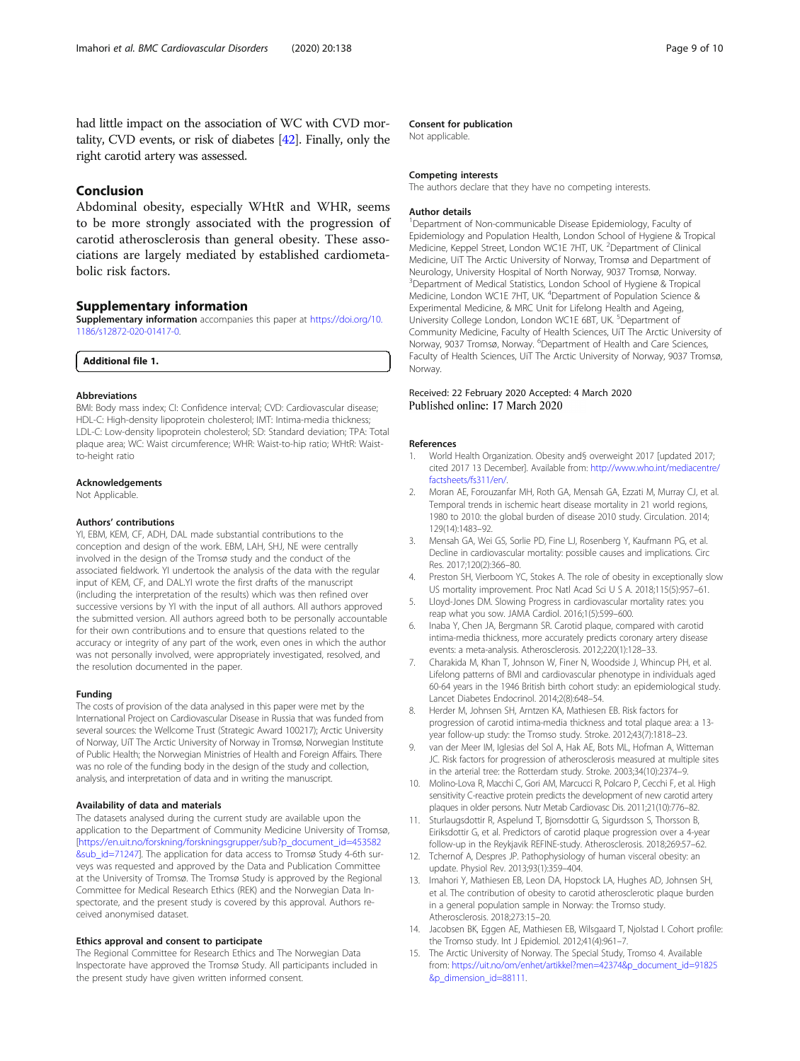<span id="page-8-0"></span>had little impact on the association of WC with CVD mortality, CVD events, or risk of diabetes [\[42\]](#page-9-0). Finally, only the right carotid artery was assessed.

## Conclusion

Abdominal obesity, especially WHtR and WHR, seems to be more strongly associated with the progression of carotid atherosclerosis than general obesity. These associations are largely mediated by established cardiometabolic risk factors.

#### Supplementary information

Supplementary information accompanies this paper at [https://doi.org/10.](https://doi.org/10.1186/s12872-020-01417-0) [1186/s12872-020-01417-0](https://doi.org/10.1186/s12872-020-01417-0).

Additional file 1.

#### Abbreviations

BMI: Body mass index; CI: Confidence interval; CVD: Cardiovascular disease; HDL-C: High-density lipoprotein cholesterol; IMT: Intima-media thickness; LDL-C: Low-density lipoprotein cholesterol; SD: Standard deviation; TPA: Total plaque area; WC: Waist circumference; WHR: Waist-to-hip ratio; WHtR: Waistto-height ratio

#### Acknowledgements

Not Applicable.

#### Authors' contributions

YI, EBM, KEM, CF, ADH, DAL made substantial contributions to the conception and design of the work. EBM, LAH, SHJ, NE were centrally involved in the design of the Tromsø study and the conduct of the associated fieldwork. YI undertook the analysis of the data with the regular input of KEM, CF, and DAL.YI wrote the first drafts of the manuscript (including the interpretation of the results) which was then refined over successive versions by YI with the input of all authors. All authors approved the submitted version. All authors agreed both to be personally accountable for their own contributions and to ensure that questions related to the accuracy or integrity of any part of the work, even ones in which the author was not personally involved, were appropriately investigated, resolved, and the resolution documented in the paper.

#### Funding

The costs of provision of the data analysed in this paper were met by the International Project on Cardiovascular Disease in Russia that was funded from several sources: the Wellcome Trust (Strategic Award 100217); Arctic University of Norway, UiT The Arctic University of Norway in Tromsø, Norwegian Institute of Public Health; the Norwegian Ministries of Health and Foreign Affairs. There was no role of the funding body in the design of the study and collection, analysis, and interpretation of data and in writing the manuscript.

#### Availability of data and materials

The datasets analysed during the current study are available upon the application to the Department of Community Medicine University of Tromsø, [[https://en.uit.no/forskning/forskningsgrupper/sub?p\\_document\\_id=453582](https://en.uit.no/forskning/forskningsgrupper/sub?p_document_id=453582&sub_id=71247) [&sub\\_id=71247](https://en.uit.no/forskning/forskningsgrupper/sub?p_document_id=453582&sub_id=71247)]. The application for data access to Tromsø Study 4-6th surveys was requested and approved by the Data and Publication Committee at the University of Tromsø. The Tromsø Study is approved by the Regional Committee for Medical Research Ethics (REK) and the Norwegian Data Inspectorate, and the present study is covered by this approval. Authors received anonymised dataset.

#### Ethics approval and consent to participate

The Regional Committee for Research Ethics and The Norwegian Data Inspectorate have approved the Tromsø Study. All participants included in the present study have given written informed consent.

#### Consent for publication

Not applicable.

#### Competing interests

The authors declare that they have no competing interests.

#### Author details

<sup>1</sup>Department of Non-communicable Disease Epidemiology, Faculty of Epidemiology and Population Health, London School of Hygiene & Tropical Medicine, Keppel Street, London WC1E 7HT, UK. <sup>2</sup>Department of Clinical Medicine, UiT The Arctic University of Norway, Tromsø and Department of Neurology, University Hospital of North Norway, 9037 Tromsø, Norway. <sup>3</sup>Department of Medical Statistics, London School of Hygiene & Tropical Medicine, London WC1E 7HT, UK. <sup>4</sup>Department of Population Science & Experimental Medicine, & MRC Unit for Lifelong Health and Ageing, University College London, London WC1E 6BT, UK. <sup>5</sup>Department of Community Medicine, Faculty of Health Sciences, UiT The Arctic University of Norway, 9037 Tromsø, Norway. <sup>6</sup>Department of Health and Care Sciences, Faculty of Health Sciences, UiT The Arctic University of Norway, 9037 Tromsø, Norway.

#### Received: 22 February 2020 Accepted: 4 March 2020 Published online: 17 March 2020

#### References

- 1. World Health Organization. Obesity and§ overweight 2017 [updated 2017; cited 2017 13 December]. Available from: [http://www.who.int/mediacentre/](http://www.who.int/mediacentre/factsheets/fs311/en/) [factsheets/fs311/en/](http://www.who.int/mediacentre/factsheets/fs311/en/).
- 2. Moran AE, Forouzanfar MH, Roth GA, Mensah GA, Ezzati M, Murray CJ, et al. Temporal trends in ischemic heart disease mortality in 21 world regions, 1980 to 2010: the global burden of disease 2010 study. Circulation. 2014; 129(14):1483–92.
- 3. Mensah GA, Wei GS, Sorlie PD, Fine LJ, Rosenberg Y, Kaufmann PG, et al. Decline in cardiovascular mortality: possible causes and implications. Circ Res. 2017;120(2):366–80.
- 4. Preston SH, Vierboom YC, Stokes A. The role of obesity in exceptionally slow US mortality improvement. Proc Natl Acad Sci U S A. 2018;115(5):957–61.
- 5. Lloyd-Jones DM. Slowing Progress in cardiovascular mortality rates: you reap what you sow. JAMA Cardiol. 2016;1(5):599–600.
- 6. Inaba Y, Chen JA, Bergmann SR. Carotid plaque, compared with carotid intima-media thickness, more accurately predicts coronary artery disease events: a meta-analysis. Atherosclerosis. 2012;220(1):128–33.
- 7. Charakida M, Khan T, Johnson W, Finer N, Woodside J, Whincup PH, et al. Lifelong patterns of BMI and cardiovascular phenotype in individuals aged 60-64 years in the 1946 British birth cohort study: an epidemiological study. Lancet Diabetes Endocrinol. 2014;2(8):648–54.
- 8. Herder M, Johnsen SH, Arntzen KA, Mathiesen EB. Risk factors for progression of carotid intima-media thickness and total plaque area: a 13 year follow-up study: the Tromso study. Stroke. 2012;43(7):1818–23.
- 9. van der Meer IM, Iglesias del Sol A, Hak AE, Bots ML, Hofman A, Witteman JC. Risk factors for progression of atherosclerosis measured at multiple sites in the arterial tree: the Rotterdam study. Stroke. 2003;34(10):2374–9.
- 10. Molino-Lova R, Macchi C, Gori AM, Marcucci R, Polcaro P, Cecchi F, et al. High sensitivity C-reactive protein predicts the development of new carotid artery plaques in older persons. Nutr Metab Cardiovasc Dis. 2011;21(10):776–82.
- 11. Sturlaugsdottir R, Aspelund T, Bjornsdottir G, Sigurdsson S, Thorsson B, Eiriksdottir G, et al. Predictors of carotid plaque progression over a 4-year follow-up in the Reykjavik REFINE-study. Atherosclerosis. 2018;269:57–62.
- 12. Tchernof A, Despres JP. Pathophysiology of human visceral obesity: an update. Physiol Rev. 2013;93(1):359–404.
- 13. Imahori Y, Mathiesen EB, Leon DA, Hopstock LA, Hughes AD, Johnsen SH, et al. The contribution of obesity to carotid atherosclerotic plaque burden in a general population sample in Norway: the Tromso study. Atherosclerosis. 2018;273:15–20.
- 14. Jacobsen BK, Eggen AE, Mathiesen EB, Wilsgaard T, Njolstad I. Cohort profile: the Tromso study. Int J Epidemiol. 2012;41(4):961–7.
- 15. The Arctic University of Norway. The Special Study, Tromso 4. Available from: [https://uit.no/om/enhet/artikkel?men=42374&p\\_document\\_id=91825](https://uit.no/om/enhet/artikkel?men=42374&p_document_id=91825&p_dimension_id=88111) [&p\\_dimension\\_id=88111](https://uit.no/om/enhet/artikkel?men=42374&p_document_id=91825&p_dimension_id=88111).